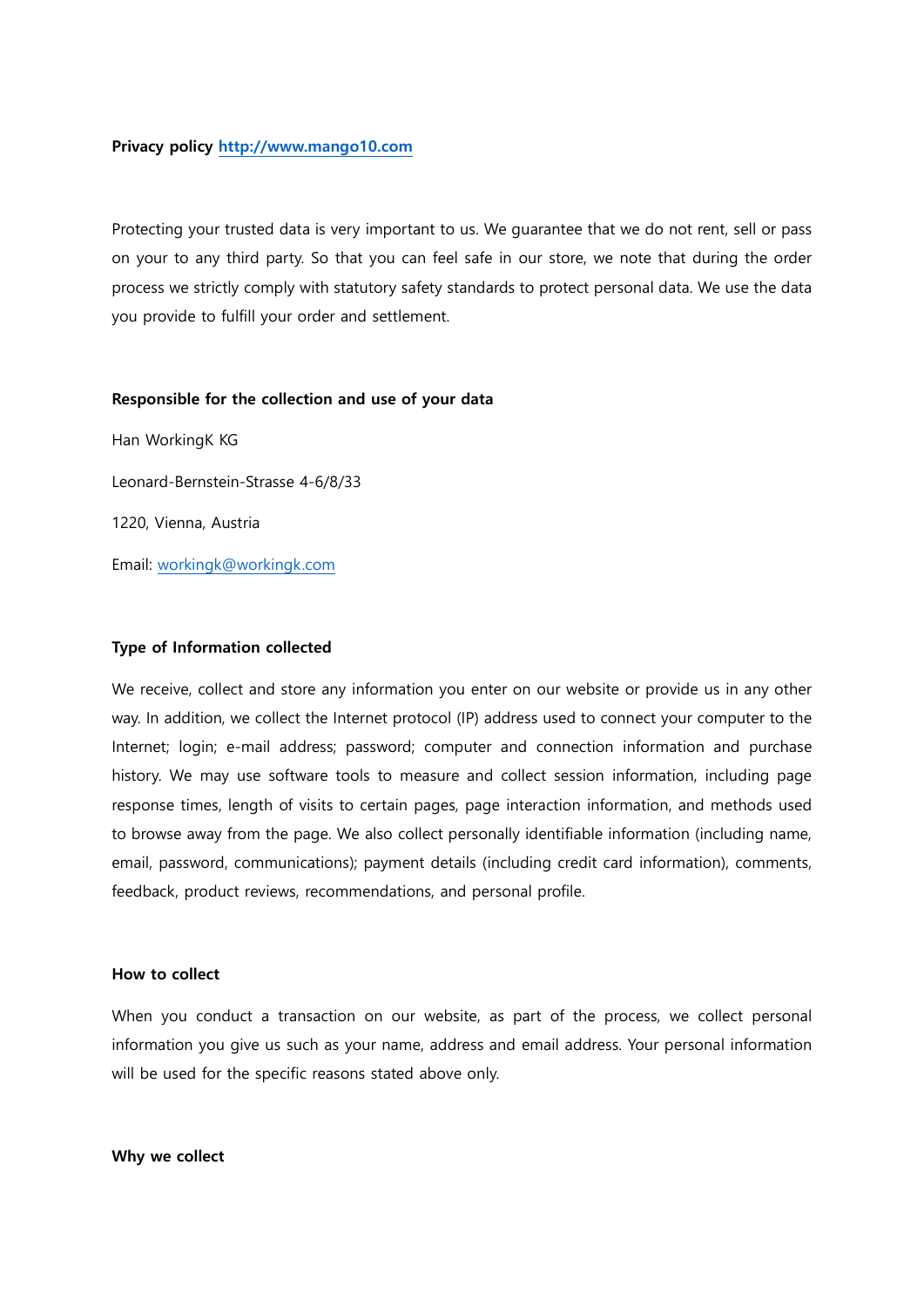# Privacy policy http://www.mango10.com

Protecting your trusted data is very important to us. We guarantee that we do not rent, sell or pass on your to any third party. So that you can feel safe in our store, we note that during the order process we strictly comply with statutory safety standards to protect personal data. We use the data you provide to fulfill your order and settlement.

# Responsible for the collection and use of your data

Han WorkingK KG Leonard-Bernstein-Strasse 4-6/8/33 1220, Vienna, Austria Email: workingk@workingk.com

# Type of Information collected

We receive, collect and store any information you enter on our website or provide us in any other way. In addition, we collect the Internet protocol (IP) address used to connect your computer to the Internet; login; e-mail address; password; computer and connection information and purchase history. We may use software tools to measure and collect session information, including page response times, length of visits to certain pages, page interaction information, and methods used to browse away from the page. We also collect personally identifiable information (including name, email, password, communications); payment details (including credit card information), comments, feedback, product reviews, recommendations, and personal profile.

## How to collect

When you conduct a transaction on our website, as part of the process, we collect personal information you give us such as your name, address and email address. Your personal information will be used for the specific reasons stated above only.

### Why we collect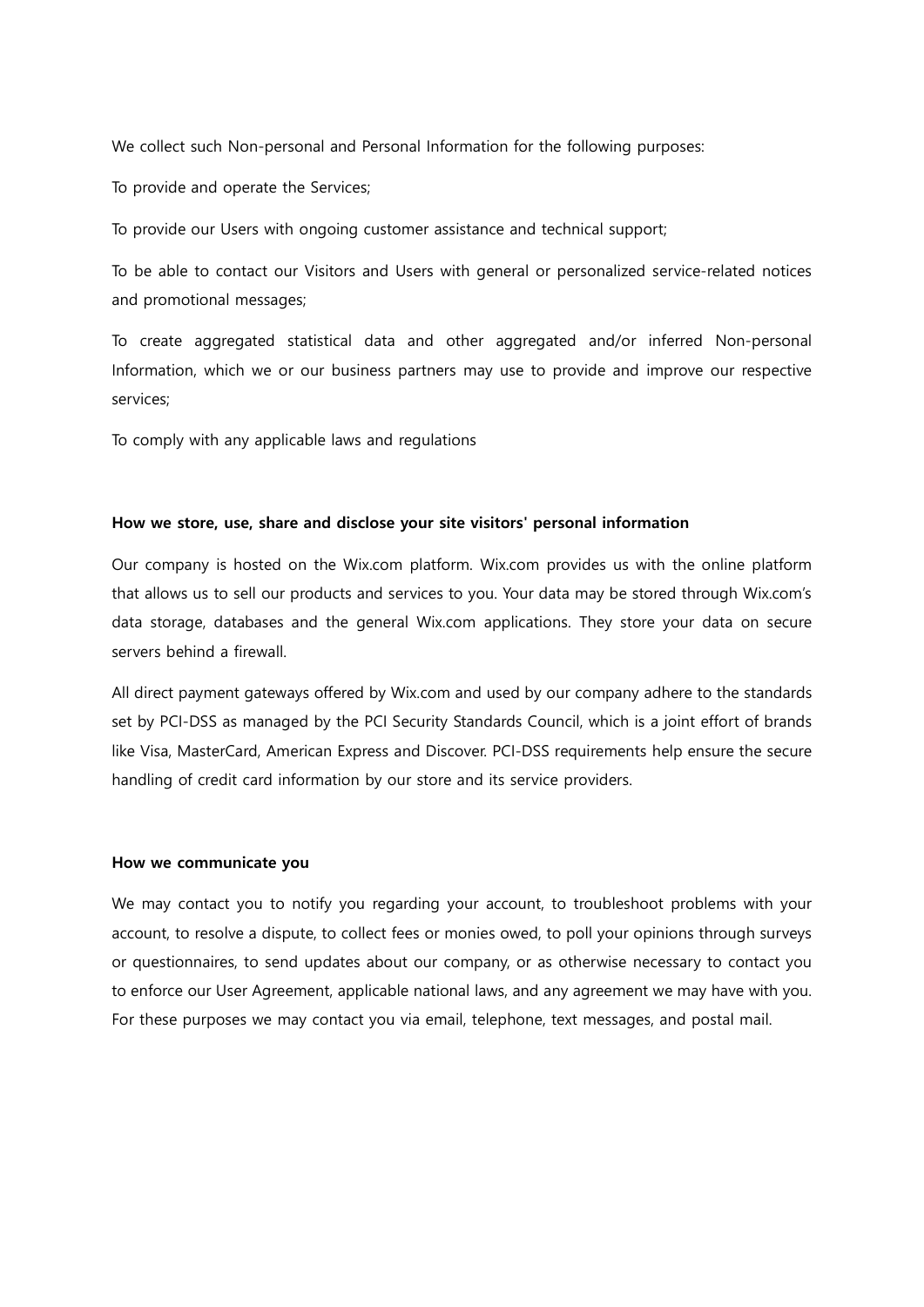We collect such Non-personal and Personal Information for the following purposes:

To provide and operate the Services;

To provide our Users with ongoing customer assistance and technical support;

To be able to contact our Visitors and Users with general or personalized service-related notices and promotional messages;

To create aggregated statistical data and other aggregated and/or inferred Non-personal Information, which we or our business partners may use to provide and improve our respective services;

To comply with any applicable laws and regulations

## How we store, use, share and disclose your site visitors' personal information

Our company is hosted on the Wix.com platform. Wix.com provides us with the online platform that allows us to sell our products and services to you. Your data may be stored through Wix.com's data storage, databases and the general Wix.com applications. They store your data on secure servers behind a firewall.

All direct payment gateways offered by Wix.com and used by our company adhere to the standards set by PCI-DSS as managed by the PCI Security Standards Council, which is a joint effort of brands like Visa, MasterCard, American Express and Discover. PCI-DSS requirements help ensure the secure handling of credit card information by our store and its service providers.

### How we communicate you

We may contact you to notify you regarding your account, to troubleshoot problems with your account, to resolve a dispute, to collect fees or monies owed, to poll your opinions through surveys or questionnaires, to send updates about our company, or as otherwise necessary to contact you to enforce our User Agreement, applicable national laws, and any agreement we may have with you. For these purposes we may contact you via email, telephone, text messages, and postal mail.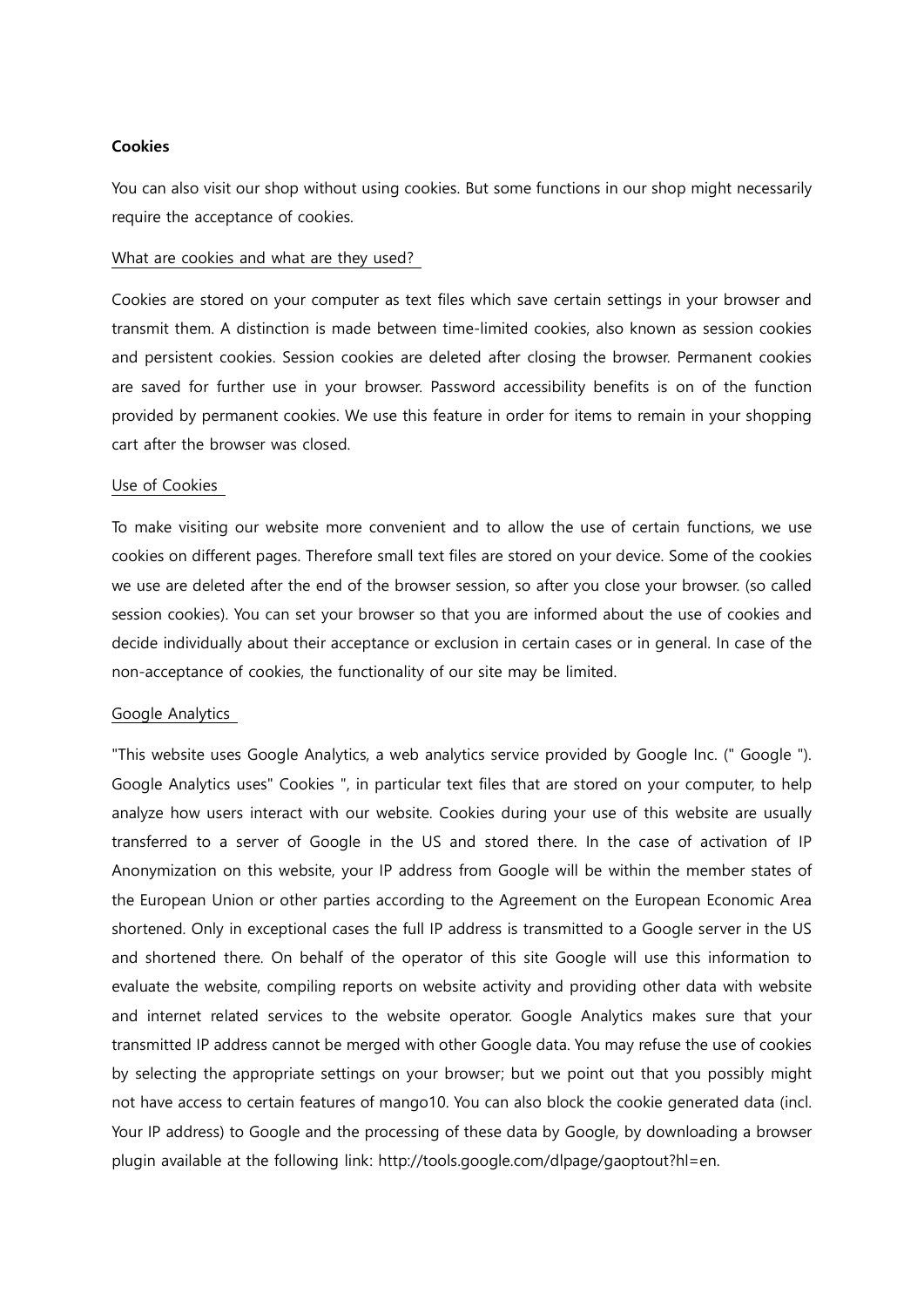# Cookies

You can also visit our shop without using cookies. But some functions in our shop might necessarily require the acceptance of cookies.

### What are cookies and what are they used?

Cookies are stored on your computer as text files which save certain settings in your browser and transmit them. A distinction is made between time-limited cookies, also known as session cookies and persistent cookies. Session cookies are deleted after closing the browser. Permanent cookies are saved for further use in your browser. Password accessibility benefits is on of the function provided by permanent cookies. We use this feature in order for items to remain in your shopping cart after the browser was closed.

# Use of Cookies

To make visiting our website more convenient and to allow the use of certain functions, we use cookies on different pages. Therefore small text files are stored on your device. Some of the cookies we use are deleted after the end of the browser session, so after you close your browser. (so called session cookies). You can set your browser so that you are informed about the use of cookies and decide individually about their acceptance or exclusion in certain cases or in general. In case of the non-acceptance of cookies, the functionality of our site may be limited.

# Google Analytics

"This website uses Google Analytics, a web analytics service provided by Google Inc. (" Google "). Google Analytics uses" Cookies ", in particular text files that are stored on your computer, to help analyze how users interact with our website. Cookies during your use of this website are usually transferred to a server of Google in the US and stored there. In the case of activation of IP Anonymization on this website, your IP address from Google will be within the member states of the European Union or other parties according to the Agreement on the European Economic Area shortened. Only in exceptional cases the full IP address is transmitted to a Google server in the US and shortened there. On behalf of the operator of this site Google will use this information to evaluate the website, compiling reports on website activity and providing other data with website and internet related services to the website operator. Google Analytics makes sure that your transmitted IP address cannot be merged with other Google data. You may refuse the use of cookies by selecting the appropriate settings on your browser; but we point out that you possibly might not have access to certain features of mango10. You can also block the cookie generated data (incl. Your IP address) to Google and the processing of these data by Google, by downloading a browser plugin available at the following link: http://tools.google.com/dlpage/gaoptout?hl=en.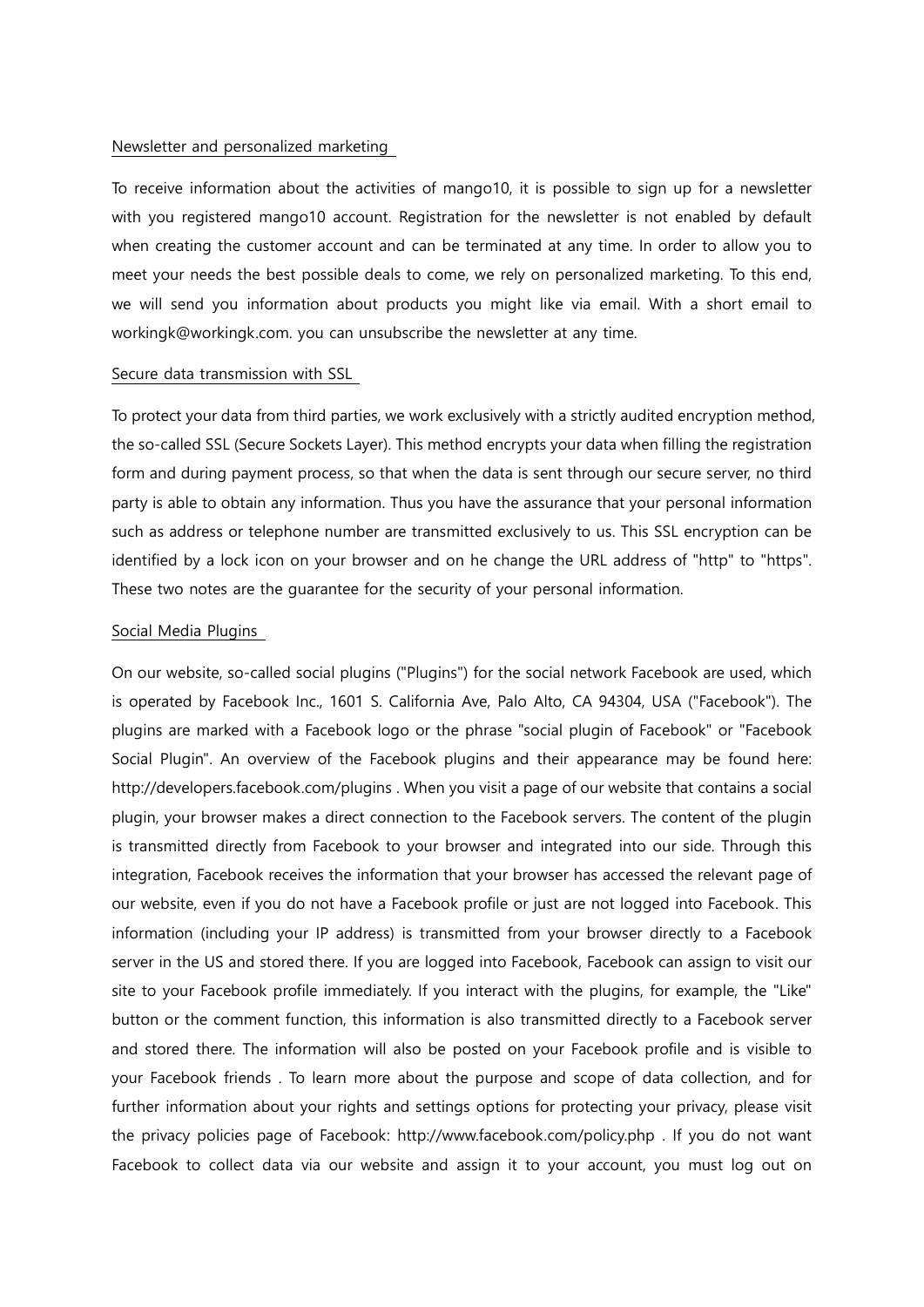### Newsletter and personalized marketing

To receive information about the activities of mango10, it is possible to sign up for a newsletter with you registered mango10 account. Registration for the newsletter is not enabled by default when creating the customer account and can be terminated at any time. In order to allow you to meet your needs the best possible deals to come, we rely on personalized marketing. To this end, we will send you information about products you might like via email. With a short email to workingk@workingk.com. you can unsubscribe the newsletter at any time.

### Secure data transmission with SSL

To protect your data from third parties, we work exclusively with a strictly audited encryption method, the so-called SSL (Secure Sockets Layer). This method encrypts your data when filling the registration form and during payment process, so that when the data is sent through our secure server, no third party is able to obtain any information. Thus you have the assurance that your personal information such as address or telephone number are transmitted exclusively to us. This SSL encryption can be identified by a lock icon on your browser and on he change the URL address of "http" to "https". These two notes are the guarantee for the security of your personal information.

### Social Media Plugins

On our website, so-called social plugins ("Plugins") for the social network Facebook are used, which is operated by Facebook Inc., 1601 S. California Ave, Palo Alto, CA 94304, USA ("Facebook"). The plugins are marked with a Facebook logo or the phrase "social plugin of Facebook" or "Facebook Social Plugin". An overview of the Facebook plugins and their appearance may be found here: http://developers.facebook.com/plugins . When you visit a page of our website that contains a social plugin, your browser makes a direct connection to the Facebook servers. The content of the plugin is transmitted directly from Facebook to your browser and integrated into our side. Through this integration, Facebook receives the information that your browser has accessed the relevant page of our website, even if you do not have a Facebook profile or just are not logged into Facebook. This information (including your IP address) is transmitted from your browser directly to a Facebook server in the US and stored there. If you are logged into Facebook, Facebook can assign to visit our site to your Facebook profile immediately. If you interact with the plugins, for example, the "Like" button or the comment function, this information is also transmitted directly to a Facebook server and stored there. The information will also be posted on your Facebook profile and is visible to your Facebook friends . To learn more about the purpose and scope of data collection, and for further information about your rights and settings options for protecting your privacy, please visit the privacy policies page of Facebook: http://www.facebook.com/policy.php . If you do not want Facebook to collect data via our website and assign it to your account, you must log out on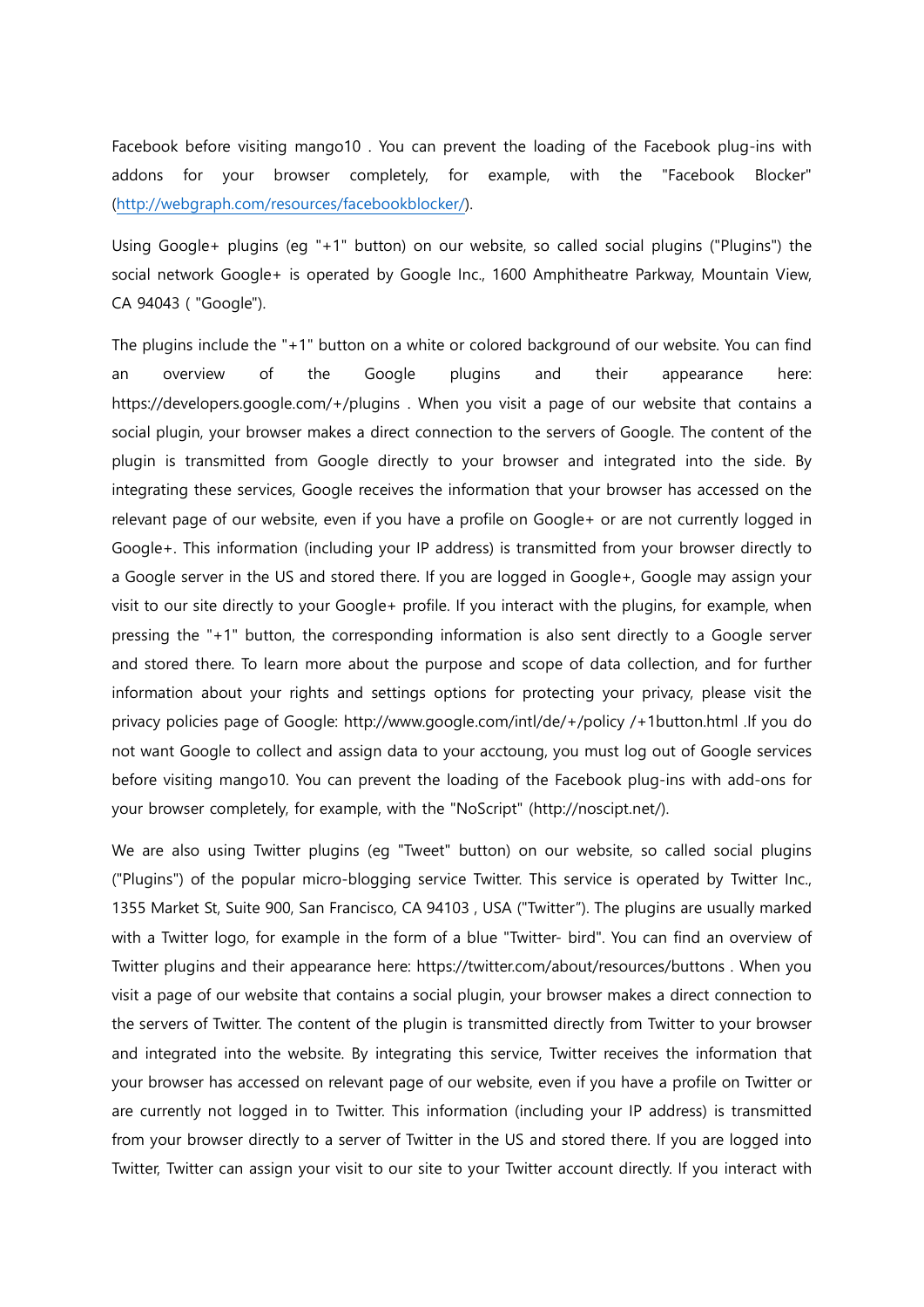Facebook before visiting mango10 . You can prevent the loading of the Facebook plug-ins with addons for your browser completely, for example, with the "Facebook Blocker" (http://webgraph.com/resources/facebookblocker/).

Using Google+ plugins (eg "+1" button) on our website, so called social plugins ("Plugins") the social network Google+ is operated by Google Inc., 1600 Amphitheatre Parkway, Mountain View, CA 94043 ( "Google").

The plugins include the "+1" button on a white or colored background of our website. You can find an overview of the Google plugins and their appearance here: https://developers.google.com/+/plugins . When you visit a page of our website that contains a social plugin, your browser makes a direct connection to the servers of Google. The content of the plugin is transmitted from Google directly to your browser and integrated into the side. By integrating these services, Google receives the information that your browser has accessed on the relevant page of our website, even if you have a profile on Google+ or are not currently logged in Google+. This information (including your IP address) is transmitted from your browser directly to a Google server in the US and stored there. If you are logged in Google+, Google may assign your visit to our site directly to your Google+ profile. If you interact with the plugins, for example, when pressing the "+1" button, the corresponding information is also sent directly to a Google server and stored there. To learn more about the purpose and scope of data collection, and for further information about your rights and settings options for protecting your privacy, please visit the privacy policies page of Google: http://www.google.com/intl/de/+/policy /+1button.html .If you do not want Google to collect and assign data to your acctoung, you must log out of Google services before visiting mango10. You can prevent the loading of the Facebook plug-ins with add-ons for your browser completely, for example, with the "NoScript" (http://noscipt.net/).

We are also using Twitter plugins (eg "Tweet" button) on our website, so called social plugins ("Plugins") of the popular micro-blogging service Twitter. This service is operated by Twitter Inc., 1355 Market St, Suite 900, San Francisco, CA 94103 , USA ("Twitter"). The plugins are usually marked with a Twitter logo, for example in the form of a blue "Twitter- bird". You can find an overview of Twitter plugins and their appearance here: https://twitter.com/about/resources/buttons . When you visit a page of our website that contains a social plugin, your browser makes a direct connection to the servers of Twitter. The content of the plugin is transmitted directly from Twitter to your browser and integrated into the website. By integrating this service, Twitter receives the information that your browser has accessed on relevant page of our website, even if you have a profile on Twitter or are currently not logged in to Twitter. This information (including your IP address) is transmitted from your browser directly to a server of Twitter in the US and stored there. If you are logged into Twitter, Twitter can assign your visit to our site to your Twitter account directly. If you interact with